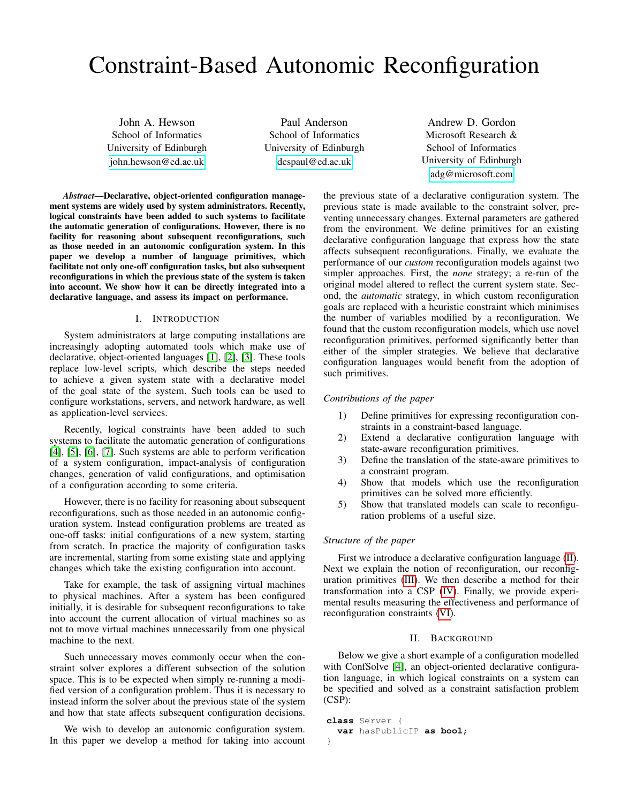# Constraint-Based Autonomic Reconfiguration

John A. Hewson School of Informatics University of Edinburgh <john.hewson@ed.ac.uk>

Paul Anderson School of Informatics University of Edinburgh <dcspaul@ed.ac.uk>

*Abstract*—Declarative, object-oriented configuration management systems are widely used by system administrators. Recently, logical constraints have been added to such systems to facilitate the automatic generation of configurations. However, there is no facility for reasoning about subsequent reconfigurations, such as those needed in an autonomic configuration system. In this paper we develop a number of language primitives, which facilitate not only one-off configuration tasks, but also subsequent reconfigurations in which the previous state of the system is taken into account. We show how it can be directly integrated into a declarative language, and assess its impact on performance.

## I. INTRODUCTION

System administrators at large computing installations are increasingly adopting automated tools which make use of declarative, object-oriented languages [\[1\]](#page-9-0), [\[2\]](#page-9-1), [\[3\]](#page-9-2). These tools replace low-level scripts, which describe the steps needed to achieve a given system state with a declarative model of the goal state of the system. Such tools can be used to configure workstations, servers, and network hardware, as well as application-level services.

Recently, logical constraints have been added to such systems to facilitate the automatic generation of configurations [\[4\]](#page-9-3), [\[5\]](#page-9-4), [\[6\]](#page-9-5), [\[7\]](#page-9-6). Such systems are able to perform verification of a system configuration, impact-analysis of configuration changes, generation of valid configurations, and optimisation of a configuration according to some criteria.

However, there is no facility for reasoning about subsequent reconfigurations, such as those needed in an autonomic configuration system. Instead configuration problems are treated as one-off tasks: initial configurations of a new system, starting from scratch. In practice the majority of configuration tasks are incremental, starting from some existing state and applying changes which take the existing configuration into account.

Take for example, the task of assigning virtual machines to physical machines. After a system has been configured initially, it is desirable for subsequent reconfigurations to take into account the current allocation of virtual machines so as not to move virtual machines unnecessarily from one physical machine to the next.

Such unnecessary moves commonly occur when the constraint solver explores a different subsection of the solution space. This is to be expected when simply re-running a modified version of a configuration problem. Thus it is necessary to instead inform the solver about the previous state of the system and how that state affects subsequent configuration decisions.

We wish to develop an autonomic configuration system. In this paper we develop a method for taking into account

Andrew D. Gordon Microsoft Research & School of Informatics University of Edinburgh <adg@microsoft.com>

the previous state of a declarative configuration system. The previous state is made available to the constraint solver, preventing unnecessary changes. External parameters are gathered from the environment. We define primitives for an existing declarative configuration language that express how the state affects subsequent reconfigurations. Finally, we evaluate the performance of our *custom* reconfiguration models against two simpler approaches. First, the *none* strategy; a re-run of the original model altered to reflect the current system state. Second, the *automatic* strategy, in which custom reconfiguration goals are replaced with a heuristic constraint which minimises the number of variables modified by a reconfiguration. We found that the custom reconfiguration models, which use novel reconfiguration primitives, performed significantly better than either of the simpler strategies. We believe that declarative configuration languages would benefit from the adoption of such primitives.

#### *Contributions of the paper*

- 1) Define primitives for expressing reconfiguration constraints in a constraint-based language.
- 2) Extend a declarative configuration language with state-aware reconfiguration primitives.
- 3) Define the translation of the state-aware primitives to a constraint program.
- 4) Show that models which use the reconfiguration primitives can be solved more efficiently.
- 5) Show that translated models can scale to reconfiguration problems of a useful size.

# *Structure of the paper*

First we introduce a declarative configuration language [\(II\)](#page-0-0). Next we explain the notion of reconfiguration, our reconfiguration primitives [\(III\)](#page-1-0). We then describe a method for their transformation into a CSP [\(IV\)](#page-2-0). Finally, we provide experimental results measuring the effectiveness and performance of reconfiguration constraints [\(VI\)](#page-5-0).

#### II. BACKGROUND

<span id="page-0-0"></span>Below we give a short example of a configuration modelled with ConfSolve [\[4\]](#page-9-3), an object-oriented declarative configuration language, in which logical constraints on a system can be specified and solved as a constraint satisfaction problem (CSP):

```
class Server {
  var hasPublicIP as bool;
}
```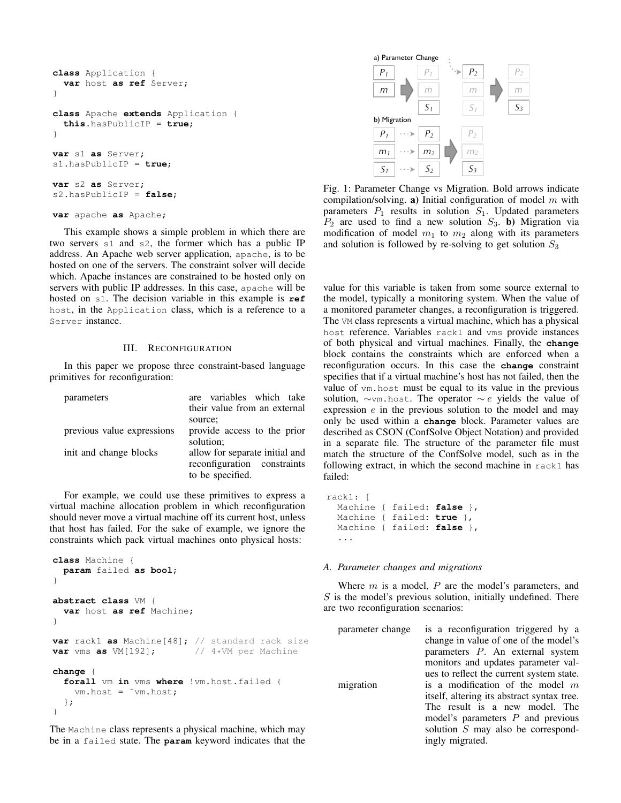```
class Application {
  var host as ref Server;
}
class Apache extends Application {
  this.hasPublicIP = true;
}
var s1 as Server;
s1.hasPublicIP = true;
var s2 as Server;
s2.hasPublicIP = false;
var apache as Apache;
```
This example shows a simple problem in which there are two servers s1 and s2, the former which has a public IP address. An Apache web server application, apache, is to be hosted on one of the servers. The constraint solver will decide which. Apache instances are constrained to be hosted only on servers with public IP addresses. In this case, apache will be hosted on s1. The decision variable in this example is **ref** host, in the Application class, which is a reference to a Server instance.

#### III. RECONFIGURATION

<span id="page-1-0"></span>In this paper we propose three constraint-based language primitives for reconfiguration:

| parameters                 | are variables which take<br>their value from an external |
|----------------------------|----------------------------------------------------------|
|                            | source;                                                  |
|                            |                                                          |
| previous value expressions | provide access to the prior                              |
|                            | solution;                                                |
| init and change blocks     | allow for separate initial and                           |
|                            | reconfiguration constraints                              |
|                            | to be specified.                                         |

For example, we could use these primitives to express a virtual machine allocation problem in which reconfiguration should never move a virtual machine off its current host, unless that host has failed. For the sake of example, we ignore the constraints which pack virtual machines onto physical hosts:

```
class Machine {
  param failed as bool;
}
abstract class VM {
  var host as ref Machine;
}
var rack1 as Machine[48]; // standard rack size<br>var vms as VM[192]; // 4*VM per Machine
var vms as VM [192];
change {
  forall vm in vms where !vm.host.failed {
    vm.host = ˜vm.host;
  };
}
```
The Machine class represents a physical machine, which may be in a failed state. The **param** keyword indicates that the

<span id="page-1-1"></span>

Fig. 1: Parameter Change vs Migration. Bold arrows indicate compilation/solving. a) Initial configuration of model  $m$  with parameters  $P_1$  results in solution  $S_1$ . Updated parameters  $P_2$  are used to find a new solution  $S_3$ . b) Migration via modification of model  $m_1$  to  $m_2$  along with its parameters and solution is followed by re-solving to get solution  $S_3$ 

value for this variable is taken from some source external to the model, typically a monitoring system. When the value of a monitored parameter changes, a reconfiguration is triggered. The VM class represents a virtual machine, which has a physical host reference. Variables rack1 and vms provide instances of both physical and virtual machines. Finally, the **change** block contains the constraints which are enforced when a reconfiguration occurs. In this case the **change** constraint specifies that if a virtual machine's host has not failed, then the value of vm.host must be equal to its value in the previous solution,  $\sim$ vm.host. The operator  $\sim$  e yields the value of expression e in the previous solution to the model and may only be used within a **change** block. Parameter values are described as CSON (ConfSolve Object Notation) and provided in a separate file. The structure of the parameter file must match the structure of the ConfSolve model, such as in the following extract, in which the second machine in rack1 has failed:

rack1: [ Machine { failed: **false** }, Machine { failed: **true** }, Machine { failed: **false** }, ...

#### *A. Parameter changes and migrations*

Where  $m$  is a model,  $P$  are the model's parameters, and  $S$  is the model's previous solution, initially undefined. There are two reconfiguration scenarios:

```
parameter change is a reconfiguration triggered by a
                   change in value of one of the model's
                   parameters P. An external system
                   monitors and updates parameter val-
                   ues to reflect the current system state.
migration is a modification of the model mitself, altering its abstract syntax tree.
                   The result is a new model. The
                   model's parameters P and previous
                   solution S may also be correspond-
                   ingly migrated.
```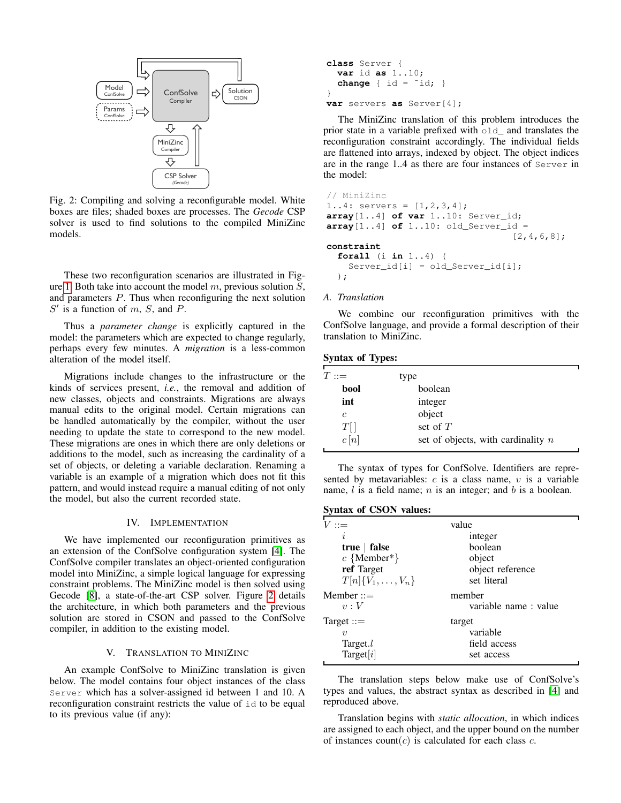<span id="page-2-1"></span>

Fig. 2: Compiling and solving a reconfigurable model. White boxes are files; shaded boxes are processes. The *Gecode* CSP solver is used to find solutions to the compiled MiniZinc models.

These two reconfiguration scenarios are illustrated in Fig-ure [1.](#page-1-1) Both take into account the model  $m$ , previous solution  $S$ , and parameters P. Thus when reconfiguring the next solution  $S'$  is a function of m, S, and P.

Thus a *parameter change* is explicitly captured in the model: the parameters which are expected to change regularly, perhaps every few minutes. A *migration* is a less-common alteration of the model itself.

Migrations include changes to the infrastructure or the kinds of services present, *i.e.*, the removal and addition of new classes, objects and constraints. Migrations are always manual edits to the original model. Certain migrations can be handled automatically by the compiler, without the user needing to update the state to correspond to the new model. These migrations are ones in which there are only deletions or additions to the model, such as increasing the cardinality of a set of objects, or deleting a variable declaration. Renaming a variable is an example of a migration which does not fit this pattern, and would instead require a manual editing of not only the model, but also the current recorded state.

# IV. IMPLEMENTATION

<span id="page-2-0"></span>We have implemented our reconfiguration primitives as an extension of the ConfSolve configuration system [\[4\]](#page-9-3). The ConfSolve compiler translates an object-oriented configuration model into MiniZinc, a simple logical language for expressing constraint problems. The MiniZinc model is then solved using Gecode [\[8\]](#page-9-7), a state-of-the-art CSP solver. Figure [2](#page-2-1) details the architecture, in which both parameters and the previous solution are stored in CSON and passed to the ConfSolve compiler, in addition to the existing model.

#### V. TRANSLATION TO MINIZINC

An example ConfSolve to MiniZinc translation is given below. The model contains four object instances of the class Server which has a solver-assigned id between 1 and 10. A reconfiguration constraint restricts the value of id to be equal to its previous value (if any):

```
class Server {
  var id as 1..10;
  change { id = "id; }
}
var servers as Server[4];
```
The MiniZinc translation of this problem introduces the prior state in a variable prefixed with old\_ and translates the reconfiguration constraint accordingly. The individual fields are flattened into arrays, indexed by object. The object indices are in the range 1..4 as there are four instances of Server in the model:

```
// MiniZinc
1..4: servers = [1, 2, 3, 4];
array[1..4] of var 1..10: Server_id;
array[1..4] of 1..10: old_Server_id =
                                   [2,4,6,8];
constraint
  forall (i in 1..4) (
    Server_id[i] = old_Server_id[i];
  );
```
## *A. Translation*

We combine our reconfiguration primitives with the ConfSolve language, and provide a formal description of their translation to MiniZinc.

| <b>Syntax of Types:</b> |  |  |  |
|-------------------------|--|--|--|
|-------------------------|--|--|--|

| $T::=$  | type                                 |
|---------|--------------------------------------|
| bool    | boolean                              |
| int     | integer                              |
| с       | object                               |
| $T[\,]$ | set of $T$                           |
| c[n]    | set of objects, with cardinality $n$ |

The syntax of types for ConfSolve. Identifiers are represented by metavariables:  $c$  is a class name,  $v$  is a variable name,  $l$  is a field name;  $n$  is an integer; and  $b$  is a boolean.

# Syntax of CSON values:

| $V ::=$                                                       | value                                            |
|---------------------------------------------------------------|--------------------------------------------------|
| Ì,                                                            | integer                                          |
| true $ $ false                                                | boolean                                          |
| $c \{ Member*\}$                                              | object                                           |
| ref Target                                                    | object reference                                 |
| $T[n]\{V_1,\ldots,V_n\}$                                      | set literal                                      |
| $M$ ember $ ::=$                                              | member                                           |
| v:V                                                           | variable name: value                             |
| Target $ ::=$<br>$\boldsymbol{\eta}$<br>Target.l<br>Target[i] | target<br>variable<br>field access<br>set access |

The translation steps below make use of ConfSolve's types and values, the abstract syntax as described in [\[4\]](#page-9-3) and reproduced above.

Translation begins with *static allocation*, in which indices are assigned to each object, and the upper bound on the number of instances count $(c)$  is calculated for each class c.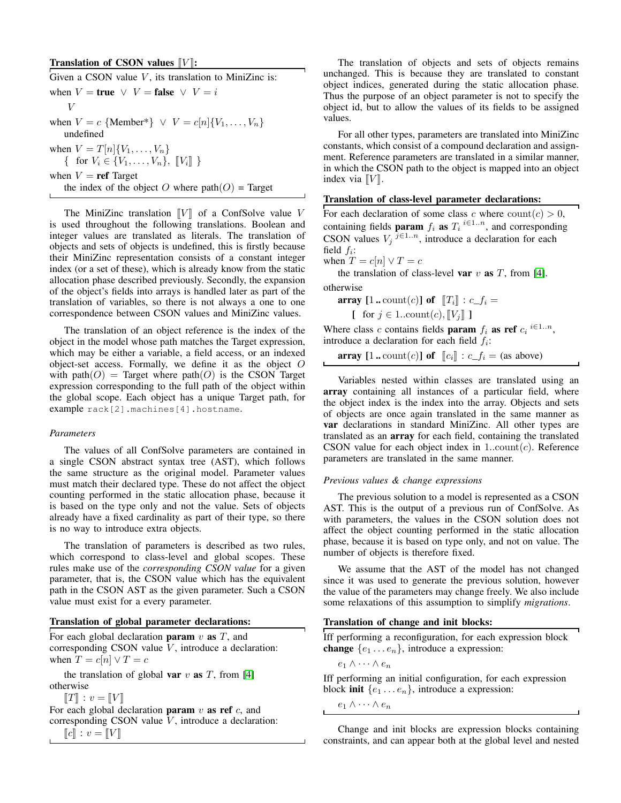# **Translation of CSON values**  $[V]$ **:**

| Given a CSON value $V$ , its translation to MiniZinc is:                                      |
|-----------------------------------------------------------------------------------------------|
| when $V =$ true $\vee$ $V =$ false $\vee$ $V = i$                                             |
| V                                                                                             |
| when $V = c$ {Member*} $\vee$ $V = c[n]\{V_1, , V_n\}$<br>undefined                           |
| when $V = T[n]\{V_1, , V_n\}$<br>{ for $V_i \in \{V_1, \ldots, V_n\}, \; [ \! [V_i ] \! ] \}$ |
| when $V = \text{ref}$ Target                                                                  |
| the index of the object O where $path(O) = Target$                                            |
|                                                                                               |

The MiniZinc translation  $\llbracket V \rrbracket$  of a ConfSolve value V is used throughout the following translations. Boolean and integer values are translated as literals. The translation of objects and sets of objects is undefined, this is firstly because their MiniZinc representation consists of a constant integer index (or a set of these), which is already know from the static allocation phase described previously. Secondly, the expansion of the object's fields into arrays is handled later as part of the translation of variables, so there is not always a one to one correspondence between CSON values and MiniZinc values.

The translation of an object reference is the index of the object in the model whose path matches the Target expression, which may be either a variable, a field access, or an indexed object-set access. Formally, we define it as the object  $O$ with path $(O)$  = Target where path $(O)$  is the CSON Target expression corresponding to the full path of the object within the global scope. Each object has a unique Target path, for example rack[2].machines[4].hostname.

#### *Parameters*

The values of all ConfSolve parameters are contained in a single CSON abstract syntax tree (AST), which follows the same structure as the original model. Parameter values must match their declared type. These do not affect the object counting performed in the static allocation phase, because it is based on the type only and not the value. Sets of objects already have a fixed cardinality as part of their type, so there is no way to introduce extra objects.

The translation of parameters is described as two rules, which correspond to class-level and global scopes. These rules make use of the *corresponding CSON value* for a given parameter, that is, the CSON value which has the equivalent path in the CSON AST as the given parameter. Such a CSON value must exist for a every parameter.

#### Translation of global parameter declarations:

For each global declaration **param**  $v$  **as**  $T$ , and corresponding CSON value  $V$ , introduce a declaration: when  $T = c[n] \vee T = c$ 

the translation of global **var**  $v$  **as**  $T$ , from [\[4\]](#page-9-3) otherwise

 $||T|| : v = ||V||$ 

For each global declaration param  $v$  as ref  $c$ , and corresponding CSON value  $V$ , introduce a declaration:  $\llbracket c \rrbracket : v = \llbracket V \rrbracket$ 

The translation of objects and sets of objects remains unchanged. This is because they are translated to constant object indices, generated during the static allocation phase. Thus the purpose of an object parameter is not to specify the object id, but to allow the values of its fields to be assigned values.

For all other types, parameters are translated into MiniZinc constants, which consist of a compound declaration and assignment. Reference parameters are translated in a similar manner, in which the CSON path to the object is mapped into an object index via  $\llbracket V \rrbracket$ .

#### Translation of class-level parameter declarations:

For each declaration of some class c where  $\text{count}(c) > 0$ , containing fields **param**  $f_i$  **as**  $T_i$ <sup>*i*∈1..*n*</sup>, and corresponding CSON values  $V_j$ <sup> $j \in 1..n$ </sup>, introduce a declaration for each field  $f_i$ :

when  $T = c[n] \vee T = c$ 

the translation of class-level var  $v$  as  $T$ , from [\[4\]](#page-9-3).

otherwise

array  $[1..\text{count}(c)]$  of  $[T_i] : c_f =$ 

$$
\left[\begin{array}{c} \text{for } j \in 1..\text{count}(c), \llbracket V_j \rrbracket \end{array}\right]
$$

Where class c contains fields **param**  $f_i$  **as ref**  $c_i$  <sup>*i*∈1..*n*</sup>, introduce a declaration for each field  $f_i$ :

array  $[1..\text{count}(c)]$  of  $[[c_i]] : c\_f_i = \text{(as above)}$ 

Variables nested within classes are translated using an array containing all instances of a particular field, where the object index is the index into the array. Objects and sets of objects are once again translated in the same manner as var declarations in standard MiniZinc. All other types are translated as an array for each field, containing the translated CSON value for each object index in  $1$ ...count $(c)$ . Reference parameters are translated in the same manner.

#### *Previous values & change expressions*

The previous solution to a model is represented as a CSON AST. This is the output of a previous run of ConfSolve. As with parameters, the values in the CSON solution does not affect the object counting performed in the static allocation phase, because it is based on type only, and not on value. The number of objects is therefore fixed.

We assume that the AST of the model has not changed since it was used to generate the previous solution, however the value of the parameters may change freely. We also include some relaxations of this assumption to simplify *migrations*.

#### Translation of change and init blocks:

Iff performing a reconfiguration, for each expression block **change**  $\{e_1 \ldots e_n\}$ , introduce a expression:

 $e_1 \wedge \cdots \wedge e_n$ 

Iff performing an initial configuration, for each expression block **init**  $\{e_1 \ldots e_n\}$ , introduce a expression:

 $e_1 \wedge \cdots \wedge e_n$ 

Change and init blocks are expression blocks containing constraints, and can appear both at the global level and nested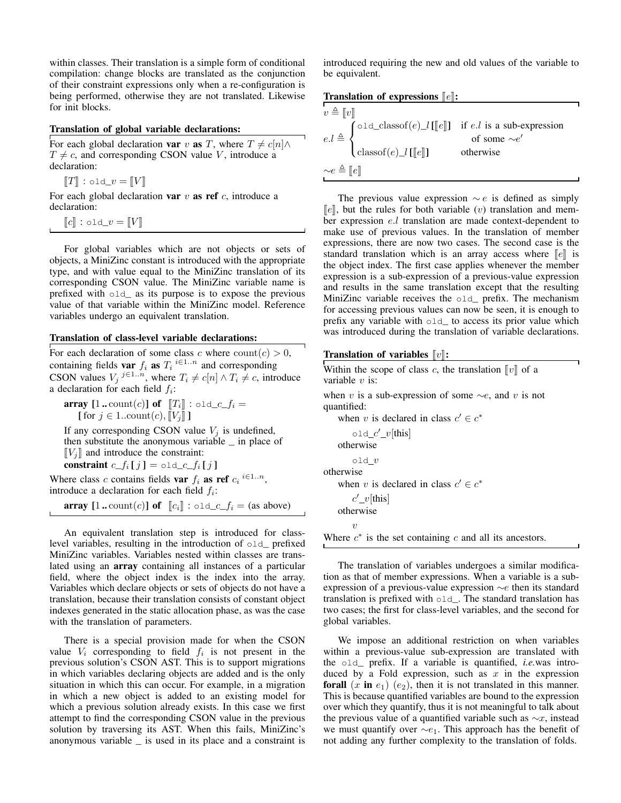within classes. Their translation is a simple form of conditional compilation: change blocks are translated as the conjunction of their constraint expressions only when a re-configuration is being performed, otherwise they are not translated. Likewise for init blocks.

#### Translation of global variable declarations:

For each global declaration var v as T, where  $T \neq c[n] \wedge$  $T \neq c$ , and corresponding CSON value V, introduce a declaration:

 $\llbracket T \rrbracket$  : old\_ $v = \llbracket V \rrbracket$ 

For each global declaration var  $v$  as ref  $c$ , introduce a declaration:

 $\llbracket c \rrbracket$ : old\_ $v = \llbracket V \rrbracket$ 

For global variables which are not objects or sets of objects, a MiniZinc constant is introduced with the appropriate type, and with value equal to the MiniZinc translation of its corresponding CSON value. The MiniZinc variable name is prefixed with old\_ as its purpose is to expose the previous value of that variable within the MiniZinc model. Reference variables undergo an equivalent translation.

#### Translation of class-level variable declarations:

For each declaration of some class c where  $\text{count}(c) > 0$ , containing fields var  $f_i$  as  $T_i \stackrel{i \in 1..n}{\sim}$  and corresponding CSON values  $V_j \stackrel{j \in 1..n}{,}$  where  $T_i \neq c[n] \wedge T_i \neq c$ , introduce a declaration for each field  $f_i$ :

array  $[1..\text{count}(c)]$  of  $[T_i] : \text{old\_c\_f_i} =$ [ for  $j \in 1$ ..count $(c)$ ,  $\llbracket V_j \rrbracket$  ]

If any corresponding CSON value  $V_i$  is undefined, then substitute the anonymous variable \_ in place of  $[V_i]$  and introduce the constraint: constraint  $c_{f_i}[j] = \text{old}_{c,f_i}[j]$ 

Where class c contains fields var  $f_i$  as ref  $c_i$  <sup>i∈1..n</sup>, introduce a declaration for each field  $f_i$ :

**array**  $[1..\text{count}(c)]$  of  $\llbracket c_i \rrbracket$  : old\_c\_f<sub>i</sub> = (as above)

An equivalent translation step is introduced for classlevel variables, resulting in the introduction of old\_ prefixed MiniZinc variables. Variables nested within classes are translated using an array containing all instances of a particular field, where the object index is the index into the array. Variables which declare objects or sets of objects do not have a translation, because their translation consists of constant object indexes generated in the static allocation phase, as was the case with the translation of parameters.

There is a special provision made for when the CSON value  $V_i$  corresponding to field  $f_i$  is not present in the previous solution's CSON AST. This is to support migrations in which variables declaring objects are added and is the only situation in which this can occur. For example, in a migration in which a new object is added to an existing model for which a previous solution already exists. In this case we first attempt to find the corresponding CSON value in the previous solution by traversing its AST. When this fails, MiniZinc's anonymous variable \_ is used in its place and a constraint is

introduced requiring the new and old values of the variable to be equivalent.

# Translation of expressions  $\lbrack\! \lbrack e \rbrack\! \rbrack$ :

| $v \triangleq \llbracket v \rrbracket$<br>$e_{\ell} \triangleq \begin{cases} \text{old\_classof}(e) \_l[[e]] & \text{if } e.l \text{ is a sub-expression} \\ 0 & \text{if } e \leq r \end{cases}$ |           |  |
|---------------------------------------------------------------------------------------------------------------------------------------------------------------------------------------------------|-----------|--|
|                                                                                                                                                                                                   |           |  |
|                                                                                                                                                                                                   |           |  |
| $\Big\{ \text{classof}(e) \_\text{l} \llbracket [e] \rrbracket \Big\}$                                                                                                                            | otherwise |  |
| $\sim e \triangleq [e]$                                                                                                                                                                           |           |  |

The previous value expression  $\sim e$  is defined as simply  $\llbracket e \rrbracket$ , but the rules for both variable (v) translation and member expression e.l translation are made context-dependent to make use of previous values. In the translation of member expressions, there are now two cases. The second case is the standard translation which is an array access where  $\llbracket e \rrbracket$  is the object index. The first case applies whenever the member expression is a sub-expression of a previous-value expression and results in the same translation except that the resulting MiniZinc variable receives the old\_ prefix. The mechanism for accessing previous values can now be seen, it is enough to prefix any variable with old\_ to access its prior value which was introduced during the translation of variable declarations.

#### Translation of variables  $\llbracket v \rrbracket$ :

| Within the scope of class c, the translation $  v  $ of a<br>variable $v$ is: |
|-------------------------------------------------------------------------------|
| when v is a sub-expression of some $\sim e$ , and v is not<br>quantified:     |
| when v is declared in class $c' \in c^*$                                      |
| $old_c'$ <sub>v</sub> [this]                                                  |
| otherwise                                                                     |
| old $v$                                                                       |
| otherwise                                                                     |
| when v is declared in class $c' \in c^*$                                      |
| $c'$ _ $v$ [this]                                                             |
| otherwise                                                                     |
| $\eta$                                                                        |
| Where $c^*$ is the set containing c and all its ancestors.                    |

The translation of variables undergoes a similar modification as that of member expressions. When a variable is a subexpression of a previous-value expression ∼e then its standard translation is prefixed with  $\circ \text{Id}$ . The standard translation has two cases; the first for class-level variables, and the second for global variables.

We impose an additional restriction on when variables within a previous-value sub-expression are translated with the old\_ prefix. If a variable is quantified, *i.e.*was introduced by a Fold expression, such as  $x$  in the expression forall  $(x \text{ in } e_1)$   $(e_2)$ , then it is not translated in this manner. This is because quantified variables are bound to the expression over which they quantify, thus it is not meaningful to talk about the previous value of a quantified variable such as  $\sim x$ , instead we must quantify over  $\sim e_1$ . This approach has the benefit of not adding any further complexity to the translation of folds.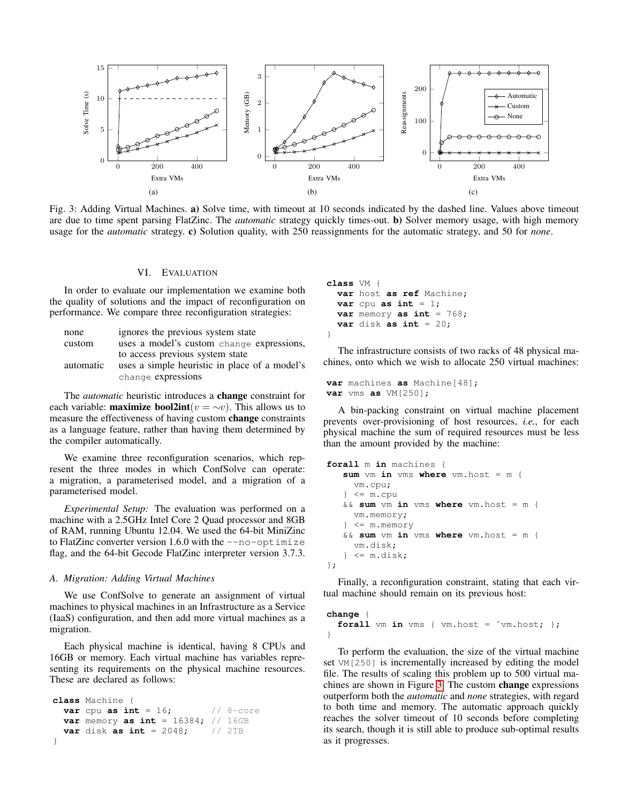<span id="page-5-1"></span>

Fig. 3: Adding Virtual Machines. a) Solve time, with timeout at 10 seconds indicated by the dashed line. Values above timeout are due to time spent parsing FlatZinc. The *automatic* strategy quickly times-out. b) Solver memory usage, with high memory usage for the *automatic* strategy. c) Solution quality, with 250 reassignments for the automatic strategy, and 50 for *none*.

#### VI. EVALUATION

<span id="page-5-0"></span>In order to evaluate our implementation we examine both the quality of solutions and the impact of reconfiguration on performance. We compare three reconfiguration strategies:

| none      | ignores the previous system state             |
|-----------|-----------------------------------------------|
| custom    | uses a model's custom change expressions,     |
|           | to access previous system state               |
| automatic | uses a simple heuristic in place of a model's |
|           | change expressions                            |

The *automatic* heuristic introduces a change constraint for each variable: **maximize bool2int**( $v = \sim v$ ). This allows us to measure the effectiveness of having custom change constraints as a language feature, rather than having them determined by the compiler automatically.

We examine three reconfiguration scenarios, which represent the three modes in which ConfSolve can operate: a migration, a parameterised model, and a migration of a parameterised model.

*Experimental Setup:* The evaluation was performed on a machine with a 2.5GHz Intel Core 2 Quad processor and 8GB of RAM, running Ubuntu 12.04. We used the 64-bit MiniZinc to FlatZinc converter version  $1.6.0$  with the  $-$ no-optimize flag, and the 64-bit Gecode FlatZinc interpreter version 3.7.3.

#### <span id="page-5-2"></span>*A. Migration: Adding Virtual Machines*

We use ConfSolve to generate an assignment of virtual machines to physical machines in an Infrastructure as a Service (IaaS) configuration, and then add more virtual machines as a migration.

Each physical machine is identical, having 8 CPUs and 16GB or memory. Each virtual machine has variables representing its requirements on the physical machine resources. These are declared as follows:

```
class Machine {
 var cpu as int = 16; \frac{1}{8} -core
 var memory as int = 16384; // 16GB
 var disk as int = 2048; // 2TB
}
```
**class** VM { **var** host **as ref** Machine; **var** cpu **as int** =  $1$ ; **var** memory **as int** = 768; **var** disk **as int** = 20; }

The infrastructure consists of two racks of 48 physical machines, onto which we wish to allocate 250 virtual machines:

```
var machines as Machine[48];
var vms as VM[250];
```
A bin-packing constraint on virtual machine placement prevents over-provisioning of host resources, *i.e.*, for each physical machine the sum of required resources must be less than the amount provided by the machine:

```
forall m in machines {
   sum vm in vms where vm.host = m {
     vm.cpu;
   } <= m.cpu
   && sum vm in vms where vm.host = m {
     vm.memory;
     } <= m.memory
   && sum vm in vms where vm.host = m {
     vm.disk;
   \} <= m.disk;};
```
Finally, a reconfiguration constraint, stating that each virtual machine should remain on its previous host:

```
change {
  forall vm in vms { vm.host = ~vm.host; };
}
```
To perform the evaluation, the size of the virtual machine set VM[250] is incrementally increased by editing the model file. The results of scaling this problem up to 500 virtual machines are shown in Figure [3.](#page-5-1) The custom change expressions outperform both the *automatic* and *none* strategies, with regard to both time and memory. The automatic approach quickly reaches the solver timeout of 10 seconds before completing its search, though it is still able to produce sub-optimal results as it progresses.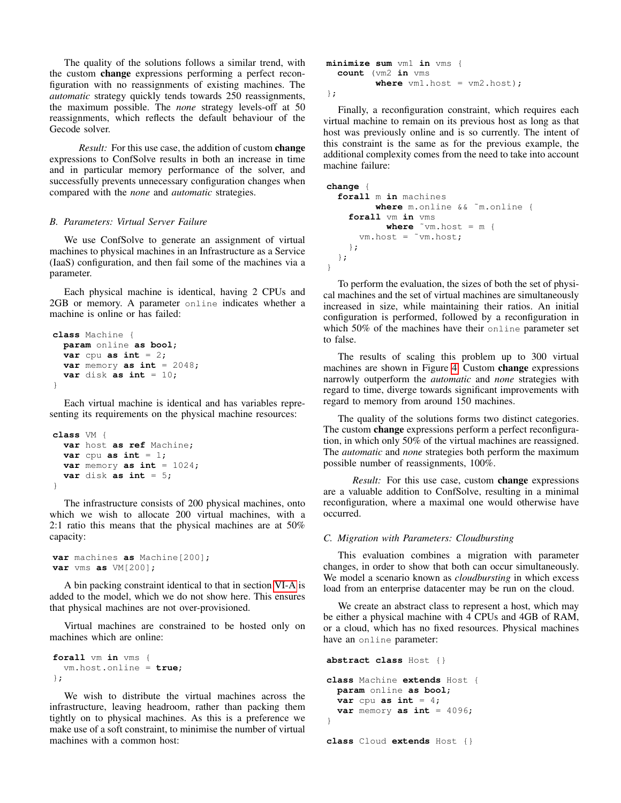The quality of the solutions follows a similar trend, with the custom change expressions performing a perfect reconfiguration with no reassignments of existing machines. The *automatic* strategy quickly tends towards 250 reassignments, the maximum possible. The *none* strategy levels-off at 50 reassignments, which reflects the default behaviour of the Gecode solver.

*Result:* For this use case, the addition of custom change expressions to ConfSolve results in both an increase in time and in particular memory performance of the solver, and successfully prevents unnecessary configuration changes when compared with the *none* and *automatic* strategies.

#### <span id="page-6-0"></span>*B. Parameters: Virtual Server Failure*

We use ConfSolve to generate an assignment of virtual machines to physical machines in an Infrastructure as a Service (IaaS) configuration, and then fail some of the machines via a parameter.

Each physical machine is identical, having 2 CPUs and 2GB or memory. A parameter online indicates whether a machine is online or has failed:

```
class Machine {
 param online as bool;
 var cpu as int = 2;
 var memory as int = 2048;
  var disk as int = 10;
}
```
Each virtual machine is identical and has variables representing its requirements on the physical machine resources:

```
class VM {
  var host as ref Machine;
  var cpu as int = 1;
  var memory as int = 1024;
  var disk as int = 5;
}
```
The infrastructure consists of 200 physical machines, onto which we wish to allocate 200 virtual machines, with a 2:1 ratio this means that the physical machines are at 50% capacity:

```
var machines as Machine[200];
var vms as VM[200];
```
A bin packing constraint identical to that in section [VI-A](#page-5-2) is added to the model, which we do not show here. This ensures that physical machines are not over-provisioned.

Virtual machines are constrained to be hosted only on machines which are online:

```
forall vm in vms {
  vm.host.online = true;
};
```
We wish to distribute the virtual machines across the infrastructure, leaving headroom, rather than packing them tightly on to physical machines. As this is a preference we make use of a soft constraint, to minimise the number of virtual machines with a common host:

```
minimize sum vm1 in vms {
  count (vm2 in vms
         where vm1.host = vn2.host;
};
```
Finally, a reconfiguration constraint, which requires each virtual machine to remain on its previous host as long as that host was previously online and is so currently. The intent of this constraint is the same as for the previous example, the additional complexity comes from the need to take into account machine failure:

```
change {
  forall m in machines
         where m.online && ˜m.online {
    forall vm in vms
           where ˜vm.host = m {
      vm.host = ˜vm.host;
    };
  };
}
```
To perform the evaluation, the sizes of both the set of physical machines and the set of virtual machines are simultaneously increased in size, while maintaining their ratios. An initial configuration is performed, followed by a reconfiguration in which 50% of the machines have their online parameter set to false.

The results of scaling this problem up to 300 virtual machines are shown in Figure [4.](#page-7-0) Custom change expressions narrowly outperform the *automatic* and *none* strategies with regard to time, diverge towards significant improvements with regard to memory from around 150 machines.

The quality of the solutions forms two distinct categories. The custom change expressions perform a perfect reconfiguration, in which only 50% of the virtual machines are reassigned. The *automatic* and *none* strategies both perform the maximum possible number of reassignments, 100%.

*Result:* For this use case, custom change expressions are a valuable addition to ConfSolve, resulting in a minimal reconfiguration, where a maximal one would otherwise have occurred.

#### *C. Migration with Parameters: Cloudbursting*

This evaluation combines a migration with parameter changes, in order to show that both can occur simultaneously. We model a scenario known as *cloudbursting* in which excess load from an enterprise datacenter may be run on the cloud.

We create an abstract class to represent a host, which may be either a physical machine with 4 CPUs and 4GB of RAM, or a cloud, which has no fixed resources. Physical machines have an online parameter:

```
abstract class Host {}
class Machine extends Host {
  param online as bool;
  var cpu as int = 4;
  var memory as int = 4096;
}
class Cloud extends Host {}
```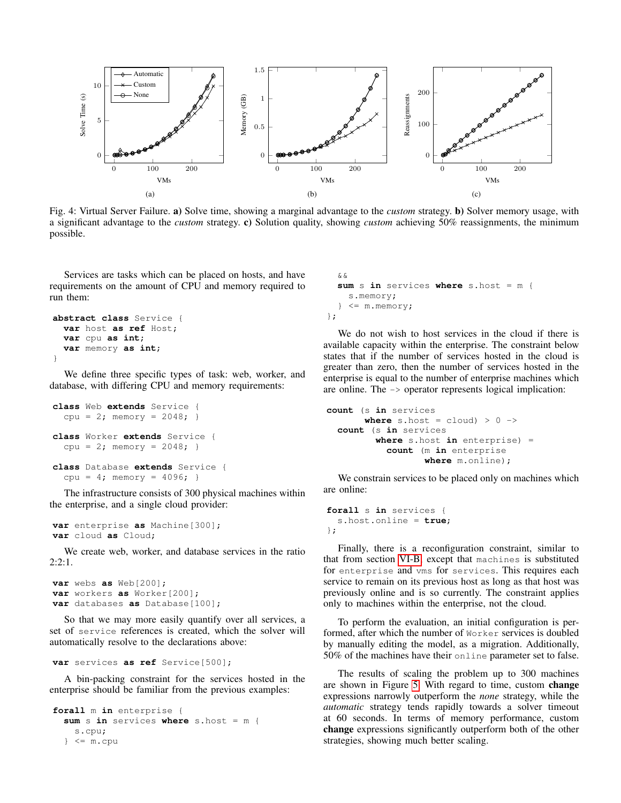<span id="page-7-0"></span>

Fig. 4: Virtual Server Failure. a) Solve time, showing a marginal advantage to the *custom* strategy. b) Solver memory usage, with a significant advantage to the *custom* strategy. c) Solution quality, showing *custom* achieving 50% reassignments, the minimum possible.

Services are tasks which can be placed on hosts, and have requirements on the amount of CPU and memory required to run them:

```
abstract class Service {
 var host as ref Host;
 var cpu as int;
 var memory as int;
}
```
We define three specific types of task: web, worker, and database, with differing CPU and memory requirements:

```
class Web extends Service {
  cpu = 2; memory = 2048; }
class Worker extends Service {
  cpu = 2; memory = 2048; }
class Database extends Service {
  cpu = 4; memory = 4096; }
```
The infrastructure consists of 300 physical machines within the enterprise, and a single cloud provider:

```
var enterprise as Machine[300];
var cloud as Cloud;
```
We create web, worker, and database services in the ratio  $2:2:1.$ 

```
var webs as Web[200];
var workers as Worker[200];
var databases as Database[100];
```
So that we may more easily quantify over all services, a set of service references is created, which the solver will automatically resolve to the declarations above:

```
var services as ref Service[500];
```
A bin-packing constraint for the services hosted in the enterprise should be familiar from the previous examples:

```
forall m in enterprise {
  sum s in services where s.host = m {
    s.cpu;
  } <= m.cpu
```

```
&&
 sum s in services where s.host = m {
    s.memory;
  } <= m.memory;
};
```
We do not wish to host services in the cloud if there is available capacity within the enterprise. The constraint below states that if the number of services hosted in the cloud is greater than zero, then the number of services hosted in the enterprise is equal to the number of enterprise machines which are online. The -> operator represents logical implication:

```
count (s in services
       where s.host = cloud) > 0 ->
  count (s in services
         where s.host in enterprise) =
           count (m in enterprise
                  where m.online);
```
We constrain services to be placed only on machines which are online:

```
forall s in services {
  s.host.online = true;
};
```
Finally, there is a reconfiguration constraint, similar to that from section [VI-B,](#page-6-0) except that machines is substituted for enterprise and vms for services. This requires each service to remain on its previous host as long as that host was previously online and is so currently. The constraint applies only to machines within the enterprise, not the cloud.

To perform the evaluation, an initial configuration is performed, after which the number of Worker services is doubled by manually editing the model, as a migration. Additionally, 50% of the machines have their online parameter set to false.

The results of scaling the problem up to 300 machines are shown in Figure [5.](#page-9-8) With regard to time, custom change expressions narrowly outperform the *none* strategy, while the *automatic* strategy tends rapidly towards a solver timeout at 60 seconds. In terms of memory performance, custom change expressions significantly outperform both of the other strategies, showing much better scaling.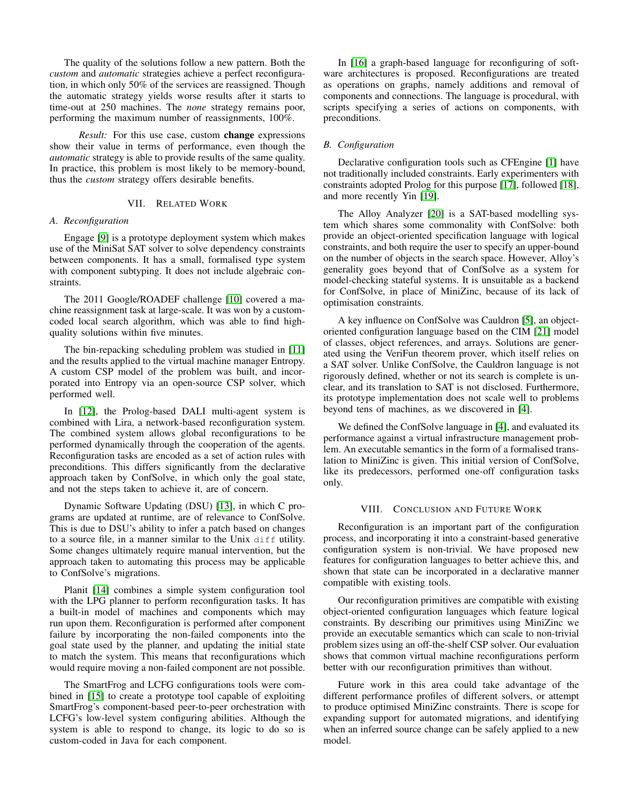The quality of the solutions follow a new pattern. Both the *custom* and *automatic* strategies achieve a perfect reconfiguration, in which only 50% of the services are reassigned. Though the automatic strategy yields worse results after it starts to time-out at 250 machines. The *none* strategy remains poor, performing the maximum number of reassignments, 100%.

*Result:* For this use case, custom **change** expressions show their value in terms of performance, even though the *automatic* strategy is able to provide results of the same quality. In practice, this problem is most likely to be memory-bound, thus the *custom* strategy offers desirable benefits.

#### VII. RELATED WORK

#### *A. Reconfiguration*

Engage [\[9\]](#page-9-9) is a prototype deployment system which makes use of the MiniSat SAT solver to solve dependency constraints between components. It has a small, formalised type system with component subtyping. It does not include algebraic constraints.

The 2011 Google/ROADEF challenge [\[10\]](#page-9-10) covered a machine reassignment task at large-scale. It was won by a customcoded local search algorithm, which was able to find highquality solutions within five minutes.

The bin-repacking scheduling problem was studied in [\[11\]](#page-9-11) and the results applied to the virtual machine manager Entropy. A custom CSP model of the problem was built, and incorporated into Entropy via an open-source CSP solver, which performed well.

In [\[12\]](#page-9-12), the Prolog-based DALI multi-agent system is combined with Lira, a network-based reconfiguration system. The combined system allows global reconfigurations to be performed dynamically through the cooperation of the agents. Reconfiguration tasks are encoded as a set of action rules with preconditions. This differs significantly from the declarative approach taken by ConfSolve, in which only the goal state, and not the steps taken to achieve it, are of concern.

Dynamic Software Updating (DSU) [\[13\]](#page-9-13), in which C programs are updated at runtime, are of relevance to ConfSolve. This is due to DSU's ability to infer a patch based on changes to a source file, in a manner similar to the Unix diff utility. Some changes ultimately require manual intervention, but the approach taken to automating this process may be applicable to ConfSolve's migrations.

Planit [\[14\]](#page-9-14) combines a simple system configuration tool with the LPG planner to perform reconfiguration tasks. It has a built-in model of machines and components which may run upon them. Reconfiguration is performed after component failure by incorporating the non-failed components into the goal state used by the planner, and updating the initial state to match the system. This means that reconfigurations which would require moving a non-failed component are not possible.

The SmartFrog and LCFG configurations tools were combined in [\[15\]](#page-9-15) to create a prototype tool capable of exploiting SmartFrog's component-based peer-to-peer orchestration with LCFG's low-level system configuring abilities. Although the system is able to respond to change, its logic to do so is custom-coded in Java for each component.

In [\[16\]](#page-9-16) a graph-based language for reconfiguring of software architectures is proposed. Reconfigurations are treated as operations on graphs, namely additions and removal of components and connections. The language is procedural, with scripts specifying a series of actions on components, with preconditions.

# *B. Configuration*

Declarative configuration tools such as CFEngine [\[1\]](#page-9-0) have not traditionally included constraints. Early experimenters with constraints adopted Prolog for this purpose [\[17\]](#page-9-17), followed [\[18\]](#page-9-18), and more recently Yin [\[19\]](#page-9-19).

The Alloy Analyzer [\[20\]](#page-9-20) is a SAT-based modelling system which shares some commonality with ConfSolve: both provide an object-oriented specification language with logical constraints, and both require the user to specify an upper-bound on the number of objects in the search space. However, Alloy's generality goes beyond that of ConfSolve as a system for model-checking stateful systems. It is unsuitable as a backend for ConfSolve, in place of MiniZinc, because of its lack of optimisation constraints.

A key influence on ConfSolve was Cauldron [\[5\]](#page-9-4), an objectoriented configuration language based on the CIM [\[21\]](#page-9-21) model of classes, object references, and arrays. Solutions are generated using the VeriFun theorem prover, which itself relies on a SAT solver. Unlike ConfSolve, the Cauldron language is not rigorously defined, whether or not its search is complete is unclear, and its translation to SAT is not disclosed. Furthermore, its prototype implementation does not scale well to problems beyond tens of machines, as we discovered in [\[4\]](#page-9-3).

We defined the ConfSolve language in [\[4\]](#page-9-3), and evaluated its performance against a virtual infrastructure management problem. An executable semantics in the form of a formalised translation to MiniZinc is given. This initial version of ConfSolve, like its predecessors, performed one-off configuration tasks only.

#### VIII. CONCLUSION AND FUTURE WORK

Reconfiguration is an important part of the configuration process, and incorporating it into a constraint-based generative configuration system is non-trivial. We have proposed new features for configuration languages to better achieve this, and shown that state can be incorporated in a declarative manner compatible with existing tools.

Our reconfiguration primitives are compatible with existing object-oriented configuration languages which feature logical constraints. By describing our primitives using MiniZinc we provide an executable semantics which can scale to non-trivial problem sizes using an off-the-shelf CSP solver. Our evaluation shows that common virtual machine reconfigurations perform better with our reconfiguration primitives than without.

Future work in this area could take advantage of the different performance profiles of different solvers, or attempt to produce optimised MiniZinc constraints. There is scope for expanding support for automated migrations, and identifying when an inferred source change can be safely applied to a new model.